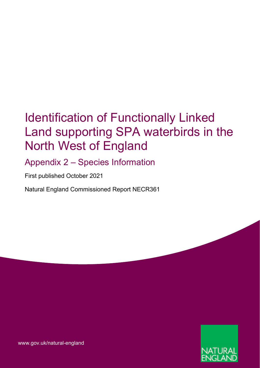## Identification of Functionally Linked Land supporting SPA waterbirds in the North West of England

Appendix 2 – Species Information

First published October 2021

Natural England Commissioned Report NECR361



[www.gov.uk/natural-england](http://www.gov.uk/natural-england)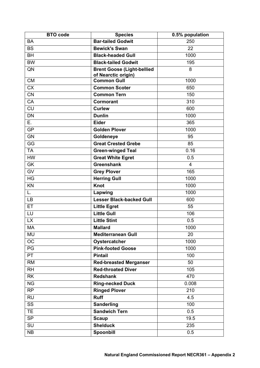| <b>BTO</b> code | <b>Species</b>                                           | 0.5% population |
|-----------------|----------------------------------------------------------|-----------------|
| <b>BA</b>       | <b>Bar-tailed Godwit</b>                                 | 250             |
| <b>BS</b>       | <b>Bewick's Swan</b>                                     | 22              |
| <b>BH</b>       | <b>Black-headed Gull</b>                                 | 1000            |
| <b>BW</b>       | <b>Black-tailed Godwit</b>                               | 195             |
| QN              | <b>Brent Goose (Light-bellied</b><br>of Nearctic origin) | 8               |
| <b>CM</b>       | <b>Common Gull</b>                                       | 1000            |
| <b>CX</b>       | <b>Common Scoter</b>                                     | 650             |
| <b>CN</b>       | <b>Common Tern</b>                                       | 150             |
| CA              | Cormorant                                                | 310             |
| <b>CU</b>       | <b>Curlew</b>                                            | 600             |
| <b>DN</b>       | <b>Dunlin</b>                                            | 1000            |
| E.              | <b>Eider</b>                                             | 365             |
| <b>GP</b>       | <b>Golden Plover</b>                                     | 1000            |
| <b>GN</b>       | Goldeneye                                                | 95              |
| GG              | <b>Great Crested Grebe</b>                               | 85              |
| <b>TA</b>       | <b>Green-winged Teal</b>                                 | 0.16            |
| <b>HW</b>       | <b>Great White Egret</b>                                 | 0.5             |
| <b>GK</b>       | <b>Greenshank</b>                                        | $\overline{4}$  |
| GV              | <b>Grey Plover</b>                                       | 165             |
| <b>HG</b>       | <b>Herring Gull</b>                                      | 1000            |
| KN              | <b>Knot</b>                                              | 1000            |
| L.              | Lapwing                                                  | 1000            |
| <b>LB</b>       | <b>Lesser Black-backed Gull</b>                          | 600             |
| ET              | <b>Little Egret</b>                                      | 55              |
| LU              | <b>Little Gull</b>                                       | 106             |
| <b>LX</b>       | <b>Little Stint</b>                                      | 0.5             |
| <b>MA</b>       | <b>Mallard</b>                                           | 1000            |
| MU              | <b>Mediterranean Gull</b>                                | 20              |
| OC              | Oystercatcher                                            | 1000            |
| PG              | <b>Pink-footed Goose</b>                                 | 1000            |
| <b>PT</b>       | <b>Pintail</b>                                           | 100             |
| <b>RM</b>       | <b>Red-breasted Merganser</b>                            | 50              |
| <b>RH</b>       | <b>Red-throated Diver</b>                                | 105             |
| <b>RK</b>       | <b>Redshank</b>                                          | 470             |
| <b>NG</b>       | <b>Ring-necked Duck</b>                                  | 0.008           |
| <b>RP</b>       | <b>Ringed Plover</b>                                     | 210             |
| <b>RU</b>       | <b>Ruff</b>                                              | 4.5             |
| SS              | <b>Sanderling</b>                                        | 100             |
| <b>TE</b>       | <b>Sandwich Tern</b>                                     | 0.5             |
| <b>SP</b>       | <b>Scaup</b>                                             | 19.5            |
| SU              | <b>Shelduck</b>                                          | 235             |
| NB              | Spoonbill                                                | 0.5             |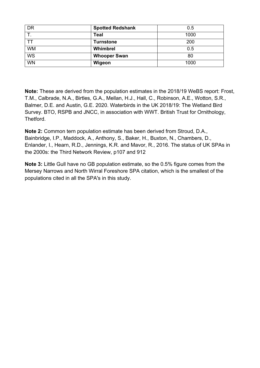| DR        | <b>Spotted Redshank</b> | 0.5  |
|-----------|-------------------------|------|
|           | Teal                    | 1000 |
|           | <b>Turnstone</b>        | 200  |
| <b>WM</b> | Whimbrel                | 0.5  |
| <b>WS</b> | <b>Whooper Swan</b>     | 80   |
| <b>WN</b> | Wigeon                  | 1000 |

**Note:** These are derived from the population estimates in the 2018/19 WeBS report: Frost, T.M., Calbrade, N.A., Birtles, G.A., Mellan, H.J., Hall, C., Robinson, A.E., Wotton, S.R., Balmer, D.E. and Austin, G.E. 2020. Waterbirds in the UK 2018/19: The Wetland Bird Survey. BTO, RSPB and JNCC, in association with WWT. British Trust for Ornithology, **Thetford** 

**Note 2:** Common tern population estimate has been derived from Stroud, D.A., Bainbridge, I.P., Maddock, A., Anthony, S., Baker, H., Buxton, N., Chambers, D., Enlander, I., Hearn, R.D., Jennings, K.R. and Mavor, R., 2016. The status of UK SPAs in the 2000s: the Third Network Review, p107 and 912

**Note 3:** Little Gull have no GB population estimate, so the 0.5% figure comes from the Mersey Narrows and North Wirral Foreshore SPA citation, which is the smallest of the populations cited in all the SPA's in this study.